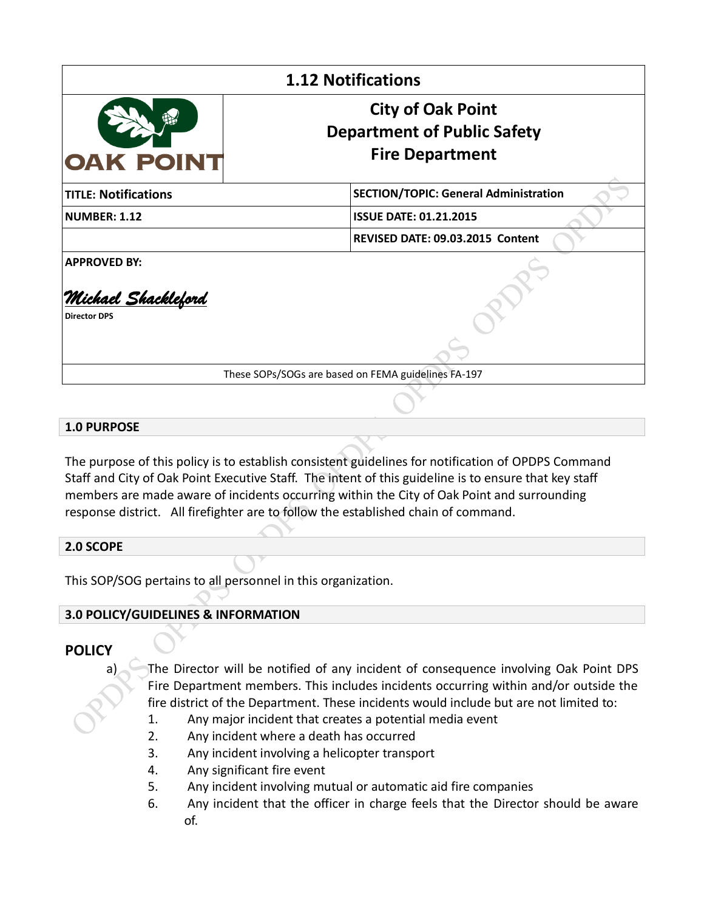| <b>1.12 Notifications</b>                                         |                                                                                          |
|-------------------------------------------------------------------|------------------------------------------------------------------------------------------|
| <b>OAK POINT</b>                                                  | <b>City of Oak Point</b><br><b>Department of Public Safety</b><br><b>Fire Department</b> |
| <b>TITLE: Notifications</b>                                       | <b>SECTION/TOPIC: General Administration</b>                                             |
| <b>NUMBER: 1.12</b>                                               | <b>ISSUE DATE: 01.21.2015</b>                                                            |
|                                                                   | REVISED DATE: 09.03.2015 Content                                                         |
| <b>APPROVED BY:</b><br>Michael Shackleford<br><b>Director DPS</b> |                                                                                          |

These SOPs/SOGs are based on FEMA guidelines FA-197

## **1.0 PURPOSE**

The purpose of this policy is to establish consistent guidelines for notification of OPDPS Command Staff and City of Oak Point Executive Staff. The intent of this guideline is to ensure that key staff members are made aware of incidents occurring within the City of Oak Point and surrounding response district. All firefighter are to follow the established chain of command.

## **2.0 SCOPE**

This SOP/SOG pertains to all personnel in this organization.

## **3.0 POLICY/GUIDELINES & INFORMATION**

## **POLICY**

a) The Director will be notified of any incident of consequence involving Oak Point DPS Fire Department members. This includes incidents occurring within and/or outside the fire district of the Department. These incidents would include but are not limited to:

- 1. Any major incident that creates a potential media event
- 2. Any incident where a death has occurred
- 3. Any incident involving a helicopter transport
- 4. Any significant fire event
- 5. Any incident involving mutual or automatic aid fire companies
- 6. Any incident that the officer in charge feels that the Director should be aware of.